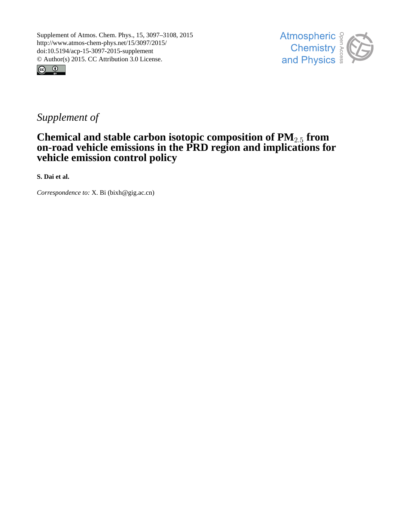



# *Supplement of*

# **Chemical and stable carbon isotopic composition of PM**2.<sup>5</sup> **from on-road vehicle emissions in the PRD region and implications for vehicle emission control policy**

**S. Dai et al.**

*Correspondence to:* X. Bi (bixh@gig.ac.cn)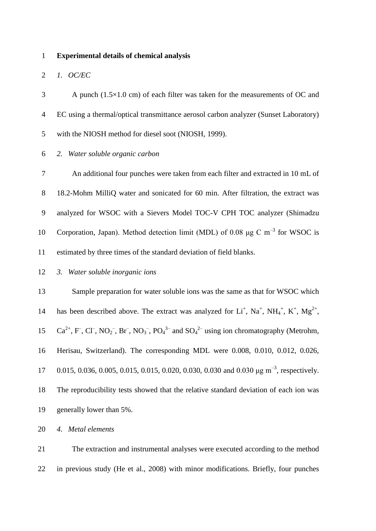#### **Experimental details of chemical analysis**

#### *1. OC/EC*

 A punch (1.5×1.0 cm) of each filter was taken for the measurements of OC and EC using a thermal/optical transmittance aerosol carbon analyzer (Sunset Laboratory) with the NIOSH method for diesel soot [\(NIOSH, 1999\)](#page-12-0).

## *2. Water soluble organic carbon*

 An additional four punches were taken from each filter and extracted in 10 mL of 18.2-Mohm MilliQ water and sonicated for 60 min. After filtration, the extract was analyzed for WSOC with a Sievers Model TOC-V CPH TOC analyzer (Shimadzu 10 Corporation, Japan). Method detection limit (MDL) of 0.08 μg C m<sup>-3</sup> for WSOC is estimated by three times of the standard deviation of field blanks.

*3. Water soluble inorganic ions*

 Sample preparation for water soluble ions was the same as that for WSOC which 14 has been described above. The extract was analyzed for  $Li^+$ ,  $Na^+$ ,  $NH_4^+$ ,  $K^+$ ,  $Mg^{2+}$ ,  $Ca^{2+}$ , F<sup>-</sup>, Cl<sup>-</sup>, NO<sub>2</sub><sup>-</sup>, Br<sup>-</sup>, NO<sub>3</sub><sup>-</sup>, PO<sub>4</sub><sup>3-</sup> and SO<sub>4</sub><sup>2-</sup> using ion chromatography (Metrohm, Herisau, Switzerland). The corresponding MDL were 0.008, 0.010, 0.012, 0.026, 17 0.015, 0.036, 0.005, 0.015, 0.015, 0.020, 0.030, 0.030 and 0.030  $\mu$ g m<sup>-3</sup>, respectively. The reproducibility tests showed that the relative standard deviation of each ion was generally lower than 5%.

*4. Metal elements*

 The extraction and instrumental analyses were executed according to the method in previous study [\(He et al., 2008\)](#page-11-0) with minor modifications. Briefly, four punches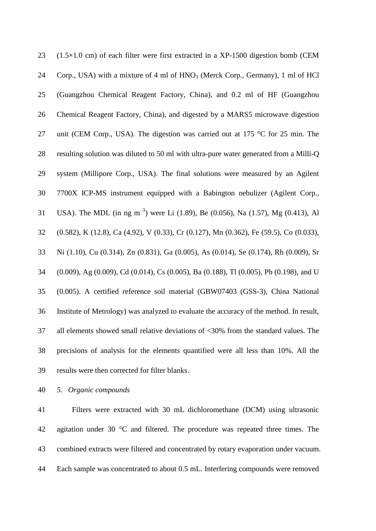| 23 | $(1.5 \times 1.0 \text{ cm})$ of each filter were first extracted in a XP-1500 digestion bomb (CEM          |
|----|-------------------------------------------------------------------------------------------------------------|
| 24 | Corp., USA) with a mixture of 4 ml of HNO <sub>3</sub> (Merck Corp., Germany), 1 ml of HCl                  |
| 25 | (Guangzhou Chemical Reagent Factory, China), and 0.2 ml of HF (Guangzhou                                    |
| 26 | Chemical Reagent Factory, China), and digested by a MARS5 microwave digestion                               |
| 27 | unit (CEM Corp., USA). The digestion was carried out at 175 °C for 25 min. The                              |
| 28 | resulting solution was diluted to 50 ml with ultra-pure water generated from a Milli-Q                      |
| 29 | system (Millipore Corp., USA). The final solutions were measured by an Agilent                              |
| 30 | 7700X ICP-MS instrument equipped with a Babington nebulizer (Agilent Corp.,                                 |
| 31 | USA). The MDL (in ng m <sup>-3</sup> ) were Li (1.89), Be (0.056), Na (1.57), Mg (0.413), Al                |
| 32 | (0.582), K (12.8), Ca (4.92), V (0.33), Cr (0.127), Mn (0.362), Fe (59.5), Co (0.033),                      |
| 33 | Ni (1.10), Cu (0.314), Zn (0.831), Ga (0.005), As (0.014), Se (0.174), Rb (0.009), Sr                       |
| 34 | $(0.009)$ , Ag $(0.009)$ , Cd $(0.014)$ , Cs $(0.005)$ , Ba $(0.188)$ , Tl $(0.005)$ , Pb $(0.198)$ , and U |
| 35 | (0.005). A certified reference soil material (GBW07403 (GSS-3), China National                              |
| 36 | Institute of Metrology) was analyzed to evaluate the accuracy of the method. In result,                     |
| 37 | all elements showed small relative deviations of <30% from the standard values. The                         |
| 38 | precisions of analysis for the elements quantified were all less than 10%. All the                          |
| 39 | results were then corrected for filter blanks.                                                              |

*5. Organic compounds*

41 Filters were extracted with 30 mL dichloromethane (DCM) using ultrasonic agitation under 30 °C and filtered. The procedure was repeated three times. The combined extracts were filtered and concentrated by rotary evaporation under vacuum. Each sample was concentrated to about 0.5 mL. Interfering compounds were removed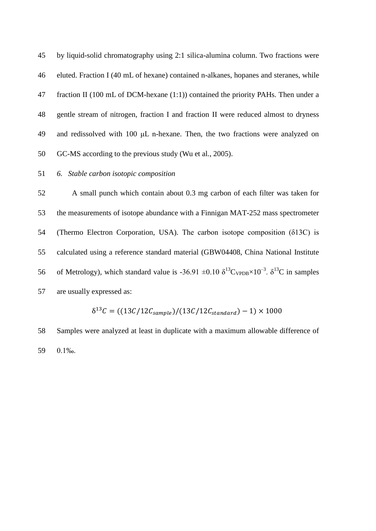by liquid-solid chromatography using 2:1 silica-alumina column. Two fractions were eluted. Fraction I (40 mL of hexane) contained n-alkanes, hopanes and steranes, while fraction II (100 mL of DCM-hexane (1:1)) contained the priority PAHs. Then under a gentle stream of nitrogen, fraction I and fraction II were reduced almost to dryness and redissolved with 100 μL n-hexane. Then, the two fractions were analyzed on GC-MS according to the previous study [\(Wu et al., 2005\)](#page-12-1).

## *6. Stable carbon isotopic composition*

 A small punch which contain about 0.3 mg carbon of each filter was taken for the measurements of isotope abundance with a Finnigan MAT-252 mass spectrometer (Thermo Electron Corporation, USA). The carbon isotope composition (δ13C) is calculated using a reference standard material (GBW04408, China National Institute 56 of Metrology), which standard value is -36.91  $\pm 0.10 \delta^{13}C_{VPDB} \times 10^{-3}$ .  $\delta^{13}C$  in samples are usually expressed as:

$$
\delta^{13}C = ((13C/12C_{sample})/(13C/12C_{standard}) - 1) \times 1000
$$

 Samples were analyzed at least in duplicate with a maximum allowable difference of 0.1‰.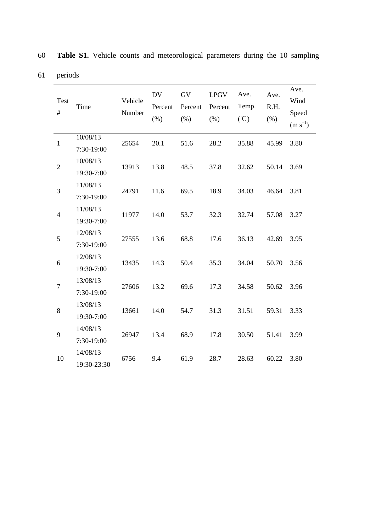| Test<br>$\#$     | Time                    | Vehicle<br>Number | <b>DV</b><br>Percent<br>(% ) | GV<br>Percent<br>(% ) | <b>LPGV</b><br>Percent<br>(% ) | Ave.<br>Temp.<br>$({}^{\circ}\mathbb{C})$ | Ave.<br>R.H.<br>(% ) | Ave.<br>Wind<br>Speed<br>$(m s^{-1})$ |
|------------------|-------------------------|-------------------|------------------------------|-----------------------|--------------------------------|-------------------------------------------|----------------------|---------------------------------------|
| $\mathbf{1}$     | 10/08/13<br>7:30-19:00  | 25654             | 20.1                         | 51.6                  | 28.2                           | 35.88                                     | 45.99                | 3.80                                  |
| $\mathbf{2}$     | 10/08/13<br>19:30-7:00  | 13913             | 13.8                         | 48.5                  | 37.8                           | 32.62                                     | 50.14                | 3.69                                  |
| 3                | 11/08/13<br>7:30-19:00  | 24791             | 11.6                         | 69.5                  | 18.9                           | 34.03                                     | 46.64                | 3.81                                  |
| $\overline{4}$   | 11/08/13<br>19:30-7:00  | 11977             | 14.0                         | 53.7                  | 32.3                           | 32.74                                     | 57.08                | 3.27                                  |
| 5                | 12/08/13<br>7:30-19:00  | 27555             | 13.6                         | 68.8                  | 17.6                           | 36.13                                     | 42.69                | 3.95                                  |
| 6                | 12/08/13<br>19:30-7:00  | 13435             | 14.3                         | 50.4                  | 35.3                           | 34.04                                     | 50.70                | 3.56                                  |
| $\boldsymbol{7}$ | 13/08/13<br>7:30-19:00  | 27606             | 13.2                         | 69.6                  | 17.3                           | 34.58                                     | 50.62                | 3.96                                  |
| 8                | 13/08/13<br>19:30-7:00  | 13661             | 14.0                         | 54.7                  | 31.3                           | 31.51                                     | 59.31                | 3.33                                  |
| 9                | 14/08/13<br>7:30-19:00  | 26947             | 13.4                         | 68.9                  | 17.8                           | 30.50                                     | 51.41                | 3.99                                  |
| 10               | 14/08/13<br>19:30-23:30 | 6756              | 9.4                          | 61.9                  | 28.7                           | 28.63                                     | 60.22                | 3.80                                  |

60 **Table S1.** Vehicle counts and meteorological parameters during the 10 sampling

61 periods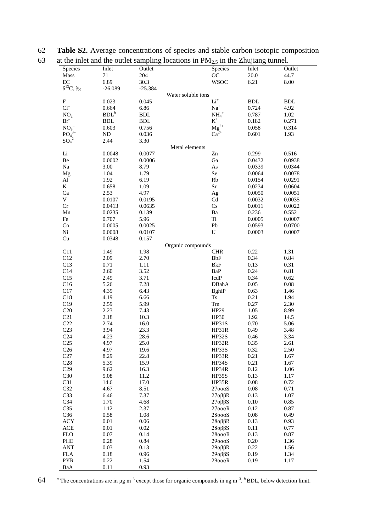| Species                    | Inlet                | Outlet               | Species                                                                                 | Inlet      | Outlet     |
|----------------------------|----------------------|----------------------|-----------------------------------------------------------------------------------------|------------|------------|
| Mass                       | 71                   | 204                  | OC                                                                                      | $20.0\,$   | 44.7       |
| EC                         | 6.89                 | 30.3                 | <b>WSOC</b>                                                                             | 6.21       | 8.00       |
| $\delta^{13}C, \%$         | $-26.089$            | $-25.384$            |                                                                                         |            |            |
|                            |                      |                      | Water soluble ions                                                                      |            |            |
| $\mathbf{F}^-$             | 0.023                | 0.045                | $\rm Li^+$                                                                              | <b>BDL</b> | <b>BDL</b> |
| $Cl^{-}$                   | 0.664                | 6.86                 | $Na+$                                                                                   | 0.724      | 4.92       |
| $NO_2^-$                   | BDL <sup>b</sup>     | <b>BDL</b>           |                                                                                         | 0.787      | 1.02       |
| $Br^-$                     | $\operatorname{BDL}$ | $\operatorname{BDL}$ | $\mathbf{NH_4}^+$<br>$\mathbf{K}^+$                                                     | 0.182      | 0.271      |
| $NO_3^-$                   | 0.603                | 0.756                |                                                                                         | 0.058      | 0.314      |
|                            |                      |                      | $\begin{array}{c} \mathbf{M} \mathbf{g}^{2+} \\ \mathbf{C} \mathbf{a}^{2+} \end{array}$ | 0.601      |            |
| PO <sub>4</sub>            | $\rm ND$             | 0.036                |                                                                                         |            | 1.93       |
| $SO_4^2$                   | 2.44                 | 3.30                 |                                                                                         |            |            |
|                            |                      |                      | Metal elements                                                                          |            |            |
| $\rm Li$                   | 0.0048               | 0.0077               | Zn                                                                                      | 0.299      | 0.516      |
| Be                         | 0.0002               | 0.0006               | Ga                                                                                      | 0.0432     | 0.0938     |
| $\rm Na$                   | 3.00                 | 8.79                 | As                                                                                      | 0.0339     | 0.0344     |
| Mg                         | 1.04                 | 1.79                 | Se                                                                                      | 0.0064     | 0.0078     |
| $\mathbf{Al}$              | 1.92                 | 6.19                 | Rb                                                                                      | 0.0154     | 0.0291     |
| K                          | 0.658                | 1.09                 | $S_{r}$                                                                                 | 0.0234     | 0.0604     |
| Ca                         | 2.53                 | 4.97                 | Ag                                                                                      | 0.0050     | 0.0051     |
| $\mathbf V$                | 0.0107               | 0.0195               | $\ensuremath{\mathrm{Cd}}$                                                              | 0.0032     | 0.0035     |
| Cr                         | 0.0413               | 0.0635               | $\mathbf{C}\mathbf{s}$                                                                  | 0.0011     | 0.0022     |
| ${\rm Mn}$                 | 0.0235               | 0.139                | Ba                                                                                      | 0.236      | 0.552      |
| Fe                         | 0.707                | 5.96                 | $\rm Tl$                                                                                | 0.0005     | 0.0007     |
| Co                         | 0.0005               | 0.0025               | ${\rm Pb}$                                                                              | 0.0593     | 0.0700     |
| Ni                         | 0.0008               | 0.0107               | U                                                                                       | 0.0003     | 0.0007     |
| $\ensuremath{\mathrm{Cu}}$ | 0.0348               | 0.157                |                                                                                         |            |            |
|                            |                      |                      | Organic compounds                                                                       |            |            |
| C11                        | 1.49                 | 1.98                 | <b>CHR</b>                                                                              | 0.22       | 1.31       |
| C12                        | 2.09                 | 2.70                 | <b>BbF</b>                                                                              | 0.34       | $\rm 0.84$ |
| C13                        | 0.71                 | 1.11                 | <b>BkF</b>                                                                              | 0.13       | 0.31       |
| C14                        | 2.60                 | 3.52                 | BaP                                                                                     | 0.24       | $0.81\,$   |
| C15                        | 2.49                 | 3.71                 | IcdP                                                                                    | 0.34       | 0.62       |
| C16                        | 5.26                 | 7.28                 | DBahA                                                                                   | 0.05       | $0.08\,$   |
| C17                        | 4.39                 | 6.43                 | <b>BghiP</b>                                                                            | 0.63       | 1.46       |
| C18                        | 4.19                 | 6.66                 | $\mathop{\hbox{Ts}}$                                                                    | 0.21       | 1.94       |
|                            |                      |                      |                                                                                         |            |            |
| C19                        | 2.59                 | 5.99                 | Tm                                                                                      | 0.27       | 2.30       |
| C20                        | 2.23                 | 7.43                 | HP29                                                                                    | 1.05       | 8.99       |
| C21                        | 2.18                 | 10.3                 | HP30                                                                                    | 1.92       | 14.5       |
| C22                        | 2.74                 | 16.0                 | HP31S                                                                                   | 0.70       | 5.06       |
| C <sub>23</sub>            | 3.94                 | 23.3                 | HP31R                                                                                   | 0.49       | 3.48       |
| C <sub>24</sub>            | 4.23                 | 28.6                 | HP32S                                                                                   | 0.46       | 3.34       |
| C <sub>25</sub>            | 4.97                 | 25.0                 | HP32R                                                                                   | 0.35       | 2.61       |
| C <sub>26</sub>            | 4.97                 | 19.6                 | HP33S                                                                                   | 0.32       | 2.50       |
| C27                        | 8.29                 | 22.8                 | HP33R                                                                                   | 0.21       | 1.67       |
| C28                        | 5.39                 | 15.9                 | HP34S                                                                                   | 0.21       | 1.67       |
| C29                        | 9.62                 | 16.3                 | HP34R                                                                                   | 0.12       | 1.06       |
| C30                        | 5.08                 | 11.2                 | HP35S                                                                                   | 0.13       | 1.17       |
| C31                        | 14.6                 | 17.0                 | HP35R                                                                                   | $0.08\,$   | 0.72       |
| C32                        | 4.67                 | 8.51                 | $27a\alpha aS$                                                                          | 0.08       | 0.71       |
| C33                        | 6.46                 | 7.37                 | $27\alpha\beta\beta R$                                                                  | 0.13       | 1.07       |
| C <sub>34</sub>            | 1.70                 | 4.68                 | $27\alpha\beta\beta S$                                                                  | 0.10       | 0.85       |
| C <sub>35</sub>            | 1.12                 | 2.37                 | $27a\alpha\alpha R$                                                                     | 0.12       | 0.87       |
| C36                        | 0.58                 | 1.08                 | $28a\alpha aS$                                                                          | $0.08\,$   | 0.49       |
| <b>ACY</b>                 | 0.01                 | 0.06                 | $28\alpha\beta\beta R$                                                                  | 0.13       | 0.93       |
| $\rm{ACE}$                 | 0.01                 | 0.02                 |                                                                                         | 0.11       |            |
|                            |                      |                      | $28\alpha\beta\beta S$                                                                  |            | 0.77       |
| ${\rm FLO}$                | 0.07                 | 0.14                 | $28a\alpha\alpha R$                                                                     | 0.13       | 0.87       |
| PHE                        | 0.28                 | 0.84                 | $29a\alpha aS$                                                                          | 0.20       | 1.36       |
| <b>ANT</b>                 | 0.03                 | 0.13                 | $29\alpha\beta\beta R$                                                                  | 0.22       | 1.56       |
| <b>FLA</b>                 | 0.18                 | 0.96                 | 29αββS                                                                                  | 0.19       | 1.34       |
| <b>PYR</b>                 | 0.22                 | 1.54                 | $29a\alpha\alpha R$                                                                     | 0.19       | 1.17       |

62 **Table S2.** Average concentrations of species and stable carbon isotopic composition

64 <sup>*a*</sup> The concentrations are in μg m<sup>-3</sup> except those for organic compounds in ng m<sup>-3</sup>. <sup>*b*</sup> BDL, below detection limit.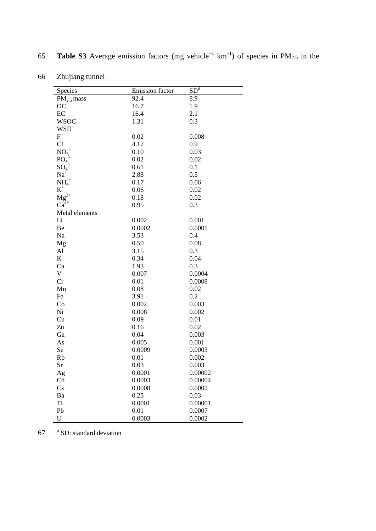| Species         | Emission factor | $SD^a$  |
|-----------------|-----------------|---------|
| $PM2.5$ mass    | 92.4            | 8.9     |
| <b>OC</b>       | 16.7            | 1.9     |
| EC              | 16.4            | 2.1     |
| <b>WSOC</b>     | 1.31            | 0.3     |
| <b>WSII</b>     |                 |         |
| F               | 0.02            | 0.008   |
| $Cl^{-}$        | 4.17            | 0.9     |
| NO <sub>3</sub> | 0.10            | 0.03    |
| PO <sub>4</sub> | 0.02            | 0.02    |
| $SO_4^2$        | 0.61            | 0.1     |
| $Na+$           | 2.88            | 0.5     |
| $NH_4^+$        | 0.17            | 0.06    |
| $\mbox{K}^+$    | 0.06            | 0.02    |
| $Mg^{2+}$       | 0.18            | 0.02    |
| $Ca^{2+}$       | 0.95            | 0.3     |
| Metal elements  |                 |         |
| Li              | 0.002           | 0.001   |
| Be              | 0.0002          | 0.0001  |
| Na              | 3.53            | 0.4     |
| Mg              | 0.50            | 0.08    |
| AI              | 3.15            | 0.3     |
| K               | 0.34            | 0.04    |
| Ca              | 1.93            | 0.3     |
| V               | 0.007           | 0.0004  |
| Cr              | 0.01            | 0.0008  |
| Mn              | 0.08            | 0.02    |
| Fe              | 3.91            | 0.2     |
| Co              | 0.002           | 0.003   |
| Ni              | 0.008           | 0.002   |
| Cu              | 0.09            | 0.01    |
| Zn              | 0.16            | 0.02    |
| Ga              | 0.04            | 0.003   |
| As              | 0.005           | 0.001   |
| Se              | 0.0009          | 0.0003  |
| Rb              | 0.01            | 0.002   |
| Sr              | 0.03            | 0.003   |
| Ag              | 0.0001          | 0.00002 |
| Cd              | 0.0003          | 0.00004 |
| Cs              | 0.0008          | 0.0002  |
| Ba              | 0.25            | 0.03    |
| T1              | 0.0001          | 0.00001 |
| Pb              | 0.01            | 0.0007  |
| $\mathbf U$     | 0.0003          | 0.0002  |

**Table S3** Average emission factors (mg vehicle<sup>-1</sup>  $km^{-1}$ ) of species in PM<sub>2.5</sub> in the

| Zhujiang tunnel |
|-----------------|
|                 |

67 *a* SD: standard deviation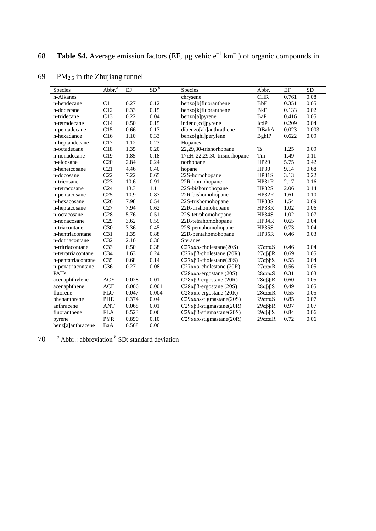| Species            | Abbr. <sup>a</sup> | EF    | SD <sup>b</sup> | <b>Species</b>                           | Abbr.                  | EF    | <b>SD</b> |
|--------------------|--------------------|-------|-----------------|------------------------------------------|------------------------|-------|-----------|
| n-Alkanes          |                    |       |                 | chrysene                                 | CHR                    | 0.761 | 0.08      |
| n-hendecane        | C11                | 0.27  | 0.12            | benzo[b]fluoranthene                     | <b>BbF</b>             | 0.351 | 0.05      |
| n-dodecane         | C12                | 0.33  | 0.15            | benzo[k]fluoranthene                     | <b>BkF</b>             | 0.133 | 0.02      |
| n-tridecane        | C13                | 0.22  | 0.04            | benzo[a]pyrene                           | BaP                    | 0.416 | 0.05      |
| n-tetradecane      | C14                | 0.50  | 0.15            | indeno[cd]pyrene                         | IcdP                   | 0.209 | 0.04      |
| n-pentadecane      | C15                | 0.66  | 0.17            | dibenzo[ah]anthrathene                   | DBahA                  | 0.023 | 0.003     |
| n-hexadance        | C16                | 1.10  | 0.33            | benzo[ghi]perylene                       | <b>BghiP</b>           | 0.622 | 0.09      |
| n-heptandecane     | C17                | 1.12  | 0.23            | Hopanes                                  |                        |       |           |
| n-octadecane       | C18                | 1.35  | 0.20            | 22,29,30-trisnorhopane                   | <b>Ts</b>              | 1.25  | 0.09      |
| n-nonadecane       | C19                | 1.85  | 0.18            | $17\alpha$ H-22,29,30-trisnorhopane      | Tm                     | 1.49  | 0.11      |
| n-eicosane         | C20                | 2.84  | 0.24            | norhopane                                | HP29                   | 5.75  | 0.42      |
| n-heneicosane      | C21                | 4.46  | 0.40            | hopane                                   | HP30                   | 9.14  | 0.68      |
| n-docosane         | C22                | 7.22  | 0.65            | 22S-homohopane                           | <b>HP31S</b>           | 3.13  | 0.22      |
| n-tricosane        | C <sub>23</sub>    | 10.6  | 0.91            | 22R-homohopane                           | HP31R                  | 2.17  | 0.16      |
| n-tetracosane      | C <sub>24</sub>    | 13.3  | 1.11            | 22S-bishomohopane                        | <b>HP32S</b>           | 2.06  | 0.14      |
| n-pentacosane      | C <sub>25</sub>    | 10.9  | 0.87            | 22R-bishomohopane                        | HP32R                  | 1.61  | 0.10      |
| n-hexacosane       | C <sub>26</sub>    | 7.98  | 0.54            | 22S-trishomohopane                       | HP33S                  | 1.54  | 0.09      |
| n-heptacosane      | C27                | 7.94  | 0.62            | 22R-trishomohopane                       | HP33R                  | 1.02  | 0.06      |
| n-octacosane       | C28                | 5.76  | 0.51            | 22S-tetrahomohopane                      | HP34S                  | 1.02  | 0.07      |
| n-nonacosane       | C29                | 3.62  | 0.59            | 22R-tetrahomohopane                      | HP34R                  | 0.65  | 0.04      |
| n-triacontane      | C30                | 3.36  | 0.45            | 22S-pentahomohopane                      | HP35S                  | 0.73  | 0.04      |
| n-hentriacontane   | C <sub>31</sub>    | 1.35  | 0.88            | 22R-pentahomohopane                      | HP35R                  | 0.46  | 0.03      |
| n-dotriacontane    | C32                | 2.10  | 0.36            | <b>Steranes</b>                          |                        |       |           |
| n-tritriacontane   | C <sub>33</sub>    | 0.50  | 0.38            | $C27a\alpha\alpha$ -cholestane(20S)      | $27a\alpha\alpha$ S    | 0.46  | 0.04      |
| n-tetratriacontane | C <sub>34</sub>    | 1.63  | 0.24            | $C27\alpha\beta\beta$ -cholestane (20R)  | $27\alpha\beta\beta R$ | 0.69  | 0.05      |
| n-pentatriacontane | C <sub>35</sub>    | 0.68  | 0.14            | $C27\alpha\beta\beta$ -cholestane(20S)   | $27\alpha\beta\beta S$ | 0.55  | 0.04      |
| n-pexatriacontane  | C <sub>36</sub>    | 0.27  | 0.08            | $C27$ ααα-cholestane (20R)               | $27a\alpha\alpha R$    | 0.56  | 0.05      |
| PAHs               |                    |       |                 | C28 $\alpha$ a $\alpha$ -ergostane (20S) | $28a\alpha aS$         | 0.31  | 0.03      |
| acenaphthylene     | <b>ACY</b>         | 0.028 | 0.01            | $C28\alpha\beta\beta$ -ergostane (20R)   | $28\alpha\beta\beta R$ | 0.60  | 0.05      |
| acenaphthene       | <b>ACE</b>         | 0.006 | 0.001           | $C28\alpha\beta\beta$ -ergostane (20S)   | $28\alpha\beta\beta S$ | 0.49  | 0.05      |
| fluorene           | <b>FLO</b>         | 0.047 | 0.004           | C28 $\alpha$ a $\alpha$ -ergostane (20R) | $28a\alpha\alpha R$    | 0.55  | 0.05      |
| phenanthrene       | PHE                | 0.374 | 0.04            | $C29a\alpha\alpha$ -stigmastane(20S)     | $29a\alpha aS$         | 0.85  | 0.07      |
| anthracene         | <b>ANT</b>         | 0.068 | 0.01            | $C29\alpha\beta\beta$ -stigmastane(20R)  | 29αββR                 | 0.97  | 0.07      |
| fluoranthene       | <b>FLA</b>         | 0.523 | 0.06            | $C29\alpha\beta\beta$ -stigmastane(20S)  | $29\alpha\beta\beta S$ | 0.84  | 0.06      |
| pyrene             | <b>PYR</b>         | 0.890 | 0.10            | $C29a\alpha\alpha$ -stigmastane(20R)     | $29a\alpha\alpha R$    | 0.72  | 0.06      |
| benz[a]anthracene  | BaA                | 0.568 | 0.06            |                                          |                        |       |           |

69 PM $_{2.5}$  in the Zhujiang tunnel

70  $a^a$  Abbr.: abbreviation  $b^b$  SD: standard deviation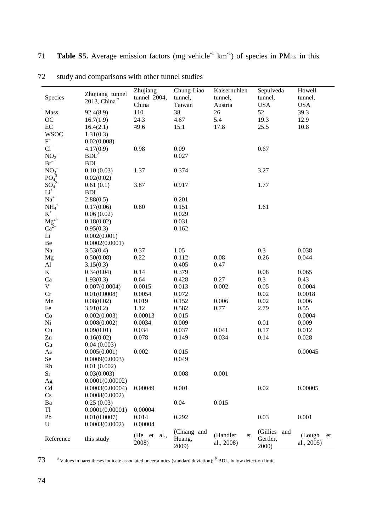| Species                      | Zhujiang tunnel<br>2013, China <sup>a</sup> | Zhujiang<br>tunnel 2004,<br>China | Chung-Liao<br>tunnel,<br>Taiwan | Kaisernuhlen<br>tunnel,<br>Austria | Sepulveda<br>tunnel,<br><b>USA</b>    | Howell<br>tunnel,<br><b>USA</b> |
|------------------------------|---------------------------------------------|-----------------------------------|---------------------------------|------------------------------------|---------------------------------------|---------------------------------|
| Mass                         | 92.4(8.9)                                   | 110                               | 38                              | 26                                 | 52                                    | 39.3                            |
| OC                           | 16.7(1.9)                                   | 24.3                              | 4.67                            | 5.4                                | 19.3                                  | 12.9                            |
| $\rm EC$                     | 16.4(2.1)                                   | 49.6                              | 15.1                            | 17.8                               | 25.5                                  | 10.8                            |
| <b>WSOC</b>                  | 1.31(0.3)                                   |                                   |                                 |                                    |                                       |                                 |
| $F^-$                        | 0.02(0.008)                                 |                                   |                                 |                                    |                                       |                                 |
| $Cl^{-}$                     | 4.17(0.9)                                   | 0.98                              | 0.09                            |                                    | 0.67                                  |                                 |
| NO <sub>2</sub>              | BDL <sup>b</sup>                            |                                   | 0.027                           |                                    |                                       |                                 |
| $Br^-$                       | <b>BDL</b>                                  |                                   |                                 |                                    |                                       |                                 |
| NO <sub>3</sub>              | 0.10(0.03)                                  | 1.37                              | 0.374                           |                                    | 3.27                                  |                                 |
| PO <sub>4</sub> <sup>3</sup> | 0.02(0.02)                                  |                                   |                                 |                                    |                                       |                                 |
| $SO_4^{2-}$                  | 0.61(0.1)                                   | 3.87                              | 0.917                           |                                    | 1.77                                  |                                 |
| $\rm Li^+$                   | <b>BDL</b>                                  |                                   |                                 |                                    |                                       |                                 |
| $Na+$                        | 2.88(0.5)                                   |                                   | 0.201                           |                                    |                                       |                                 |
| $NH4+$                       | 0.17(0.06)                                  | 0.80                              | 0.151                           |                                    | 1.61                                  |                                 |
| $\mbox{K}^+$                 | 0.06(0.02)                                  |                                   | 0.029                           |                                    |                                       |                                 |
| $\rm Mg^{2+}$                | 0.18(0.02)                                  |                                   | 0.031                           |                                    |                                       |                                 |
| $Ca^{2+}$                    | 0.95(0.3)                                   |                                   | 0.162                           |                                    |                                       |                                 |
| $\rm Li$                     | 0.002(0.001)                                |                                   |                                 |                                    |                                       |                                 |
| $\rm Be$                     | 0.0002(0.0001)                              |                                   |                                 |                                    |                                       |                                 |
| Na                           | 3.53(0.4)                                   | 0.37                              | 1.05                            |                                    | 0.3                                   | 0.038                           |
| Mg                           | 0.50(0.08)                                  | 0.22                              | 0.112                           | 0.08                               | 0.26                                  | 0.044                           |
| $\mathbf{A}$ l               | 3.15(0.3)                                   |                                   | 0.405                           | 0.47                               |                                       |                                 |
| K                            | 0.34(0.04)                                  | 0.14                              | 0.379                           |                                    | 0.08                                  | 0.065                           |
| Ca                           | 1.93(0.3)                                   | 0.64                              | 0.428                           | 0.27                               | 0.3                                   | 0.43                            |
| $\mathbf V$                  | 0.007(0.0004)                               | 0.0015                            | 0.013                           | 0.002                              | 0.05                                  | 0.0004                          |
| Cr                           | 0.01(0.0008)                                | 0.0054                            | 0.072                           |                                    | 0.02                                  | 0.0018                          |
| Mn                           | 0.08(0.02)                                  | 0.019                             | 0.152                           | 0.006                              | 0.02                                  | 0.006                           |
| Fe                           | 3.91(0.2)                                   | 1.12                              | 0.582                           | 0.77                               | 2.79                                  | 0.55                            |
| Co                           | 0.002(0.003)                                | 0.00013                           | 0.015                           |                                    |                                       | 0.0004                          |
| Ni                           | 0.008(0.002)                                | 0.0034                            | 0.009                           |                                    | 0.01                                  | 0.009                           |
| Cu                           | 0.09(0.01)                                  | 0.034                             | 0.037                           | 0.041                              | 0.17                                  | 0.012                           |
| Zn                           | 0.16(0.02)                                  | 0.078                             | 0.149                           | 0.034                              | 0.14                                  | 0.028                           |
| Ga                           | 0.04(0.003)                                 |                                   |                                 |                                    |                                       |                                 |
| As                           | 0.005(0.001)                                | 0.002                             | 0.015                           |                                    |                                       | 0.00045                         |
| Se                           | 0.0009(0.0003)                              |                                   | 0.049                           |                                    |                                       |                                 |
| Rb                           | 0.01(0.002)                                 |                                   |                                 |                                    |                                       |                                 |
| Sr                           | 0.03(0.003)                                 |                                   | 0.008                           | 0.001                              |                                       |                                 |
| Ag                           | 0.0001(0.00002)                             |                                   |                                 |                                    |                                       |                                 |
| Cd                           | 0.0003(0.00004)                             | 0.00049                           | 0.001                           |                                    | 0.02                                  | 0.00005                         |
| Cs                           | 0.0008(0.0002)                              |                                   |                                 |                                    |                                       |                                 |
| Ba                           | 0.25(0.03)                                  |                                   | 0.04                            | 0.015                              |                                       |                                 |
| T1                           | 0.0001(0.00001)                             | 0.00004                           |                                 |                                    |                                       |                                 |
| Pb                           | 0.01(0.0007)                                | 0.014                             | 0.292                           |                                    | 0.03                                  | 0.001                           |
| $\mathbf U$                  | 0.0003(0.0002)                              | 0.00004                           |                                 |                                    |                                       |                                 |
| Reference                    | this study                                  | (He et al.,<br>2008)              | (Chiang and<br>Huang,<br>2009)  | (Handler<br>et<br>al., 2008)       | (Gillies)<br>and<br>Gertler,<br>2000) | (Lough<br>et<br>al., 2005)      |

72 study and comparisons with other tunnel studies

73 *a* Values in parentheses indicate associated uncertainties (standard deviation); <sup>*b*</sup> BDL, below detection limit.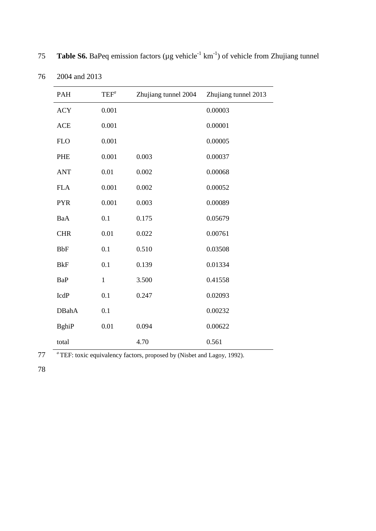| <b>PAH</b>   | $\mathrm{TEF}^a$ | Zhujiang tunnel 2004 | Zhujiang tunnel 2013 |
|--------------|------------------|----------------------|----------------------|
| <b>ACY</b>   | 0.001            |                      | 0.00003              |
| <b>ACE</b>   | 0.001            |                      | 0.00001              |
| <b>FLO</b>   | 0.001            |                      | 0.00005              |
| PHE          | 0.001            | 0.003                | 0.00037              |
| <b>ANT</b>   | 0.01             | 0.002                | 0.00068              |
| <b>FLA</b>   | 0.001            | 0.002                | 0.00052              |
| <b>PYR</b>   | 0.001            | 0.003                | 0.00089              |
| BaA          | 0.1              | 0.175                | 0.05679              |
| <b>CHR</b>   | 0.01             | 0.022                | 0.00761              |
| <b>BbF</b>   | 0.1              | 0.510                | 0.03508              |
| <b>BkF</b>   | 0.1              | 0.139                | 0.01334              |
| <b>BaP</b>   | $\mathbf{1}$     | 3.500                | 0.41558              |
| IcdP         | 0.1              | 0.247                | 0.02093              |
| <b>DBahA</b> | 0.1              |                      | 0.00232              |
| <b>BghiP</b> | 0.01             | 0.094                | 0.00622              |
| total        |                  | 4.70                 | 0.561                |

**Table S6.** BaPeq emission factors ( $\mu$ g vehicle<sup>-1</sup> km<sup>-1</sup>) of vehicle from Zhujiang tunnel

76 2004 and 2013

77 TEF: toxic equivalency factors, proposed by [\(Nisbet and Lagoy, 1992\)](#page-12-2).

78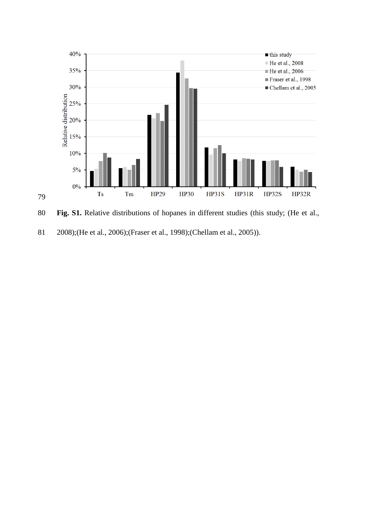

**Fig. S1.** Relative distributions of hopanes in different studies (this study; [\(He et al.,](#page-11-0) 

[2008\)](#page-11-0);[\(He et al., 2006\);\(Frase](#page-11-5)[r et al., 1998\);\(Chellam et](#page-11-6) [al., 2005\)\).](#page-11-7)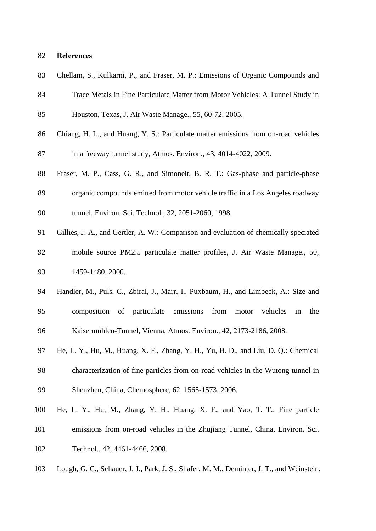#### **References**

<span id="page-11-7"></span>

|  |  |  |  |  |  |  |  |  |  |  |  | 83 Chellam, S., Kulkarni, P., and Fraser, M. P.: Emissions of Organic Compounds and |  |
|--|--|--|--|--|--|--|--|--|--|--|--|-------------------------------------------------------------------------------------|--|
|--|--|--|--|--|--|--|--|--|--|--|--|-------------------------------------------------------------------------------------|--|

- Trace Metals in Fine Particulate Matter from Motor Vehicles: A Tunnel Study in Houston, Texas, J. Air Waste Manage., 55, 60-72, 2005.
- <span id="page-11-1"></span>Chiang, H. L., and Huang, Y. S.: Particulate matter emissions from on-road vehicles
- in a freeway tunnel study, Atmos. Environ., 43, 4014-4022, 2009.
- <span id="page-11-6"></span>Fraser, M. P., Cass, G. R., and Simoneit, B. R. T.: Gas-phase and particle-phase
- organic compounds emitted from motor vehicle traffic in a Los Angeles roadway
- tunnel, Environ. Sci. Technol., 32, 2051-2060, 1998.
- <span id="page-11-3"></span> Gillies, J. A., and Gertler, A. W.: Comparison and evaluation of chemically speciated mobile source PM2.5 particulate matter profiles, J. Air Waste Manage., 50, 1459-1480, 2000.
- <span id="page-11-2"></span> Handler, M., Puls, C., Zbiral, J., Marr, I., Puxbaum, H., and Limbeck, A.: Size and composition of particulate emissions from motor vehicles in the Kaisermuhlen-Tunnel, Vienna, Atmos. Environ., 42, 2173-2186, 2008.
- <span id="page-11-5"></span> He, L. Y., Hu, M., Huang, X. F., Zhang, Y. H., Yu, B. D., and Liu, D. Q.: Chemical characterization of fine particles from on-road vehicles in the Wutong tunnel in Shenzhen, China, Chemosphere, 62, 1565-1573, 2006.
- <span id="page-11-0"></span> He, L. Y., Hu, M., Zhang, Y. H., Huang, X. F., and Yao, T. T.: Fine particle emissions from on-road vehicles in the Zhujiang Tunnel, China, Environ. Sci. Technol., 42, 4461-4466, 2008.
- <span id="page-11-4"></span>Lough, G. C., Schauer, J. J., Park, J. S., Shafer, M. M., Deminter, J. T., and Weinstein,